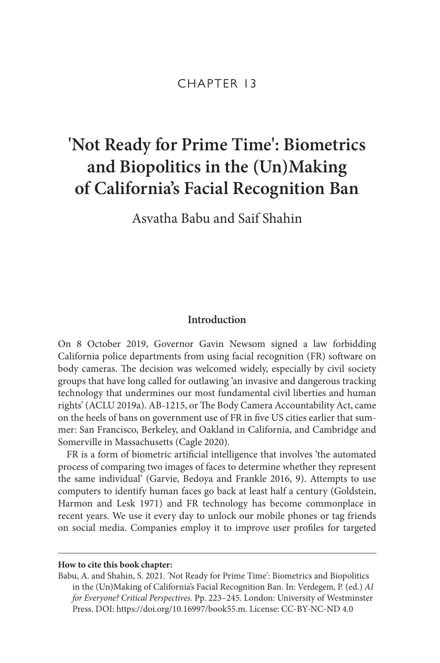# CHAPTER 13

# **'Not Ready for Prime Time': Biometrics and Biopolitics in the (Un)Making of California's Facial Recognition Ban**

Asvatha Babu and Saif Shahin

# **Introduction**

On 8 October 2019, Governor Gavin Newsom signed a law forbidding California police departments from using facial recognition (FR) software on body cameras. The decision was welcomed widely, especially by civil society groups that have long called for outlawing 'an invasive and dangerous tracking technology that undermines our most fundamental civil liberties and human rights' (ACLU 2019a). AB-1215, or The Body Camera Accountability Act, came on the heels of bans on government use of FR in five US cities earlier that summer: San Francisco, Berkeley, and Oakland in California, and Cambridge and Somerville in Massachusetts (Cagle 2020).

FR is a form of biometric artificial intelligence that involves 'the automated process of comparing two images of faces to determine whether they represent the same individual' (Garvie, Bedoya and Frankle 2016, 9). Attempts to use computers to identify human faces go back at least half a century (Goldstein, Harmon and Lesk 1971) and FR technology has become commonplace in recent years. We use it every day to unlock our mobile phones or tag friends on social media. Companies employ it to improve user profiles for targeted

#### **How to cite this book chapter:**

Babu, A. and Shahin, S. 2021. 'Not Ready for Prime Time': Biometrics and Biopolitics in the (Un)Making of California's Facial Recognition Ban. In: Verdegem, P. (ed.) *AI for Everyone? Critical Perspectives.* Pp. 223–245. London: University of Westminster Press. DOI:<https://doi.org/10.16997/book55.m>. License: CC-BY-NC-ND 4.0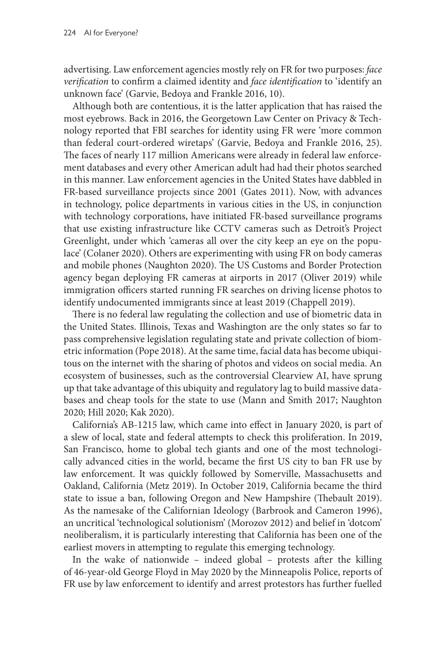advertising. Law enforcement agencies mostly rely on FR for two purposes: *face verification* to confirm a claimed identity and *face identification* to 'identify an unknown face' (Garvie, Bedoya and Frankle 2016, 10).

Although both are contentious, it is the latter application that has raised the most eyebrows. Back in 2016, the Georgetown Law Center on Privacy & Technology reported that FBI searches for identity using FR were 'more common than federal court-ordered wiretaps' (Garvie, Bedoya and Frankle 2016, 25). The faces of nearly 117 million Americans were already in federal law enforcement databases and every other American adult had had their photos searched in this manner. Law enforcement agencies in the United States have dabbled in FR-based surveillance projects since 2001 (Gates 2011). Now, with advances in technology, police departments in various cities in the US, in conjunction with technology corporations, have initiated FR-based surveillance programs that use existing infrastructure like CCTV cameras such as Detroit's Project Greenlight, under which 'cameras all over the city keep an eye on the populace' (Colaner 2020). Others are experimenting with using FR on body cameras and mobile phones (Naughton 2020). The US Customs and Border Protection agency began deploying FR cameras at airports in 2017 (Oliver 2019) while immigration officers started running FR searches on driving license photos to identify undocumented immigrants since at least 2019 (Chappell 2019).

There is no federal law regulating the collection and use of biometric data in the United States. Illinois, Texas and Washington are the only states so far to pass comprehensive legislation regulating state and private collection of biometric information (Pope 2018). At the same time, facial data has become ubiquitous on the internet with the sharing of photos and videos on social media. An ecosystem of businesses, such as the controversial Clearview AI, have sprung up that take advantage of this ubiquity and regulatory lag to build massive databases and cheap tools for the state to use (Mann and Smith 2017; Naughton 2020; Hill 2020; Kak 2020).

California's AB-1215 law, which came into effect in January 2020, is part of a slew of local, state and federal attempts to check this proliferation. In 2019, San Francisco, home to global tech giants and one of the most technologically advanced cities in the world, became the first US city to ban FR use by law enforcement. It was quickly followed by Somerville, Massachusetts and Oakland, California (Metz 2019). In October 2019, California became the third state to issue a ban, following Oregon and New Hampshire (Thebault 2019). As the namesake of the Californian Ideology (Barbrook and Cameron 1996), an uncritical 'technological solutionism' (Morozov 2012) and belief in 'dotcom' neoliberalism, it is particularly interesting that California has been one of the earliest movers in attempting to regulate this emerging technology.

In the wake of nationwide – indeed global – protests after the killing of 46-year-old George Floyd in May 2020 by the Minneapolis Police, reports of FR use by law enforcement to identify and arrest protestors has further fuelled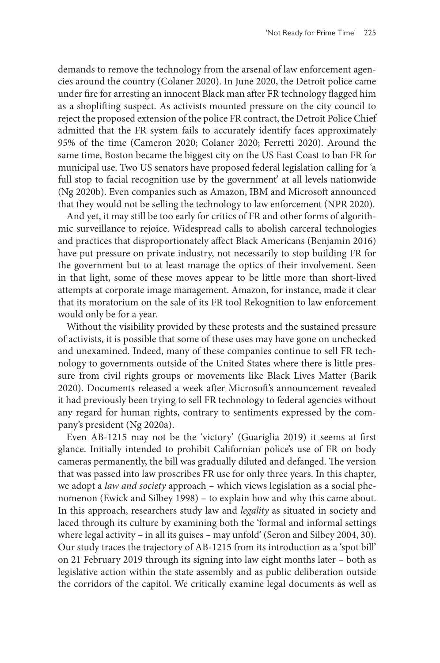demands to remove the technology from the arsenal of law enforcement agencies around the country (Colaner 2020). In June 2020, the Detroit police came under fire for arresting an innocent Black man after FR technology flagged him as a shoplifting suspect. As activists mounted pressure on the city council to reject the proposed extension of the police FR contract, the Detroit Police Chief admitted that the FR system fails to accurately identify faces approximately 95% of the time (Cameron 2020; Colaner 2020; Ferretti 2020). Around the same time, Boston became the biggest city on the US East Coast to ban FR for municipal use. Two US senators have proposed federal legislation calling for 'a full stop to facial recognition use by the government' at all levels nationwide (Ng 2020b). Even companies such as Amazon, IBM and Microsoft announced that they would not be selling the technology to law enforcement (NPR 2020).

And yet, it may still be too early for critics of FR and other forms of algorithmic surveillance to rejoice. Widespread calls to abolish carceral technologies and practices that disproportionately affect Black Americans (Benjamin 2016) have put pressure on private industry, not necessarily to stop building FR for the government but to at least manage the optics of their involvement. Seen in that light, some of these moves appear to be little more than short-lived attempts at corporate image management. Amazon, for instance, made it clear that its moratorium on the sale of its FR tool Rekognition to law enforcement would only be for a year.

Without the visibility provided by these protests and the sustained pressure of activists, it is possible that some of these uses may have gone on unchecked and unexamined. Indeed, many of these companies continue to sell FR technology to governments outside of the United States where there is little pressure from civil rights groups or movements like Black Lives Matter (Barik 2020). Documents released a week after Microsoft's announcement revealed it had previously been trying to sell FR technology to federal agencies without any regard for human rights, contrary to sentiments expressed by the company's president (Ng 2020a).

Even AB-1215 may not be the 'victory' (Guariglia 2019) it seems at first glance. Initially intended to prohibit Californian police's use of FR on body cameras permanently, the bill was gradually diluted and defanged. The version that was passed into law proscribes FR use for only three years. In this chapter, we adopt a *law and society* approach – which views legislation as a social phenomenon (Ewick and Silbey 1998) – to explain how and why this came about. In this approach, researchers study law and *legality* as situated in society and laced through its culture by examining both the 'formal and informal settings where legal activity – in all its guises – may unfold' (Seron and Silbey 2004, 30). Our study traces the trajectory of AB-1215 from its introduction as a 'spot bill' on 21 February 2019 through its signing into law eight months later – both as legislative action within the state assembly and as public deliberation outside the corridors of the capitol. We critically examine legal documents as well as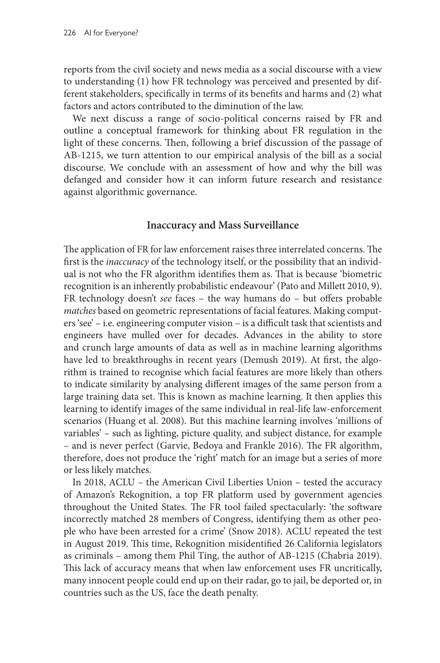reports from the civil society and news media as a social discourse with a view to understanding (1) how FR technology was perceived and presented by different stakeholders, specifically in terms of its benefits and harms and (2) what factors and actors contributed to the diminution of the law.

We next discuss a range of socio-political concerns raised by FR and outline a conceptual framework for thinking about FR regulation in the light of these concerns. Then, following a brief discussion of the passage of AB-1215, we turn attention to our empirical analysis of the bill as a social discourse. We conclude with an assessment of how and why the bill was defanged and consider how it can inform future research and resistance against algorithmic governance.

## **Inaccuracy and Mass Surveillance**

The application of FR for law enforcement raises three interrelated concerns. The first is the *inaccuracy* of the technology itself, or the possibility that an individual is not who the FR algorithm identifies them as. That is because 'biometric recognition is an inherently probabilistic endeavour' (Pato and Millett 2010, 9). FR technology doesn't *see* faces – the way humans do – but offers probable *matches* based on geometric representations of facial features. Making computers 'see' – i.e. engineering computer vision – is a difficult task that scientists and engineers have mulled over for decades. Advances in the ability to store and crunch large amounts of data as well as in machine learning algorithms have led to breakthroughs in recent years (Demush 2019). At first, the algorithm is trained to recognise which facial features are more likely than others to indicate similarity by analysing different images of the same person from a large training data set. This is known as machine learning. It then applies this learning to identify images of the same individual in real-life law-enforcement scenarios (Huang et al. 2008). But this machine learning involves 'millions of variables' – such as lighting, picture quality, and subject distance, for example – and is never perfect (Garvie, Bedoya and Frankle 2016). The FR algorithm, therefore, does not produce the 'right' match for an image but a series of more or less likely matches.

In 2018, ACLU – the American Civil Liberties Union – tested the accuracy of Amazon's Rekognition, a top FR platform used by government agencies throughout the United States. The FR tool failed spectacularly: 'the software incorrectly matched 28 members of Congress, identifying them as other people who have been arrested for a crime' (Snow 2018). ACLU repeated the test in August 2019. This time, Rekognition misidentified 26 California legislators as criminals – among them Phil Ting, the author of AB-1215 (Chabria 2019). This lack of accuracy means that when law enforcement uses FR uncritically, many innocent people could end up on their radar, go to jail, be deported or, in countries such as the US, face the death penalty.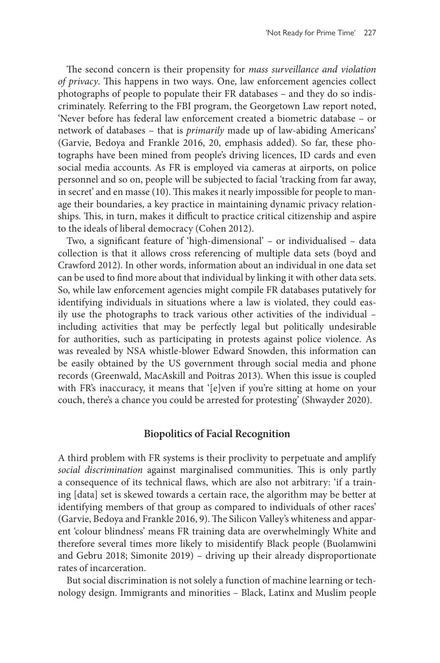The second concern is their propensity for *mass surveillance and violation of privacy*. This happens in two ways. One, law enforcement agencies collect photographs of people to populate their FR databases – and they do so indiscriminately. Referring to the FBI program, the Georgetown Law report noted, 'Never before has federal law enforcement created a biometric database – or network of databases – that is *primarily* made up of law-abiding Americans' (Garvie, Bedoya and Frankle 2016, 20, emphasis added). So far, these photographs have been mined from people's driving licences, ID cards and even social media accounts. As FR is employed via cameras at airports, on police personnel and so on, people will be subjected to facial 'tracking from far away, in secret' and en masse (10). This makes it nearly impossible for people to manage their boundaries, a key practice in maintaining dynamic privacy relationships. This, in turn, makes it difficult to practice critical citizenship and aspire to the ideals of liberal democracy (Cohen 2012).

Two, a significant feature of 'high-dimensional' – or individualised – data collection is that it allows cross referencing of multiple data sets (boyd and Crawford 2012). In other words, information about an individual in one data set can be used to find more about that individual by linking it with other data sets. So, while law enforcement agencies might compile FR databases putatively for identifying individuals in situations where a law is violated, they could easily use the photographs to track various other activities of the individual – including activities that may be perfectly legal but politically undesirable for authorities, such as participating in protests against police violence. As was revealed by NSA whistle-blower Edward Snowden, this information can be easily obtained by the US government through social media and phone records (Greenwald, MacAskill and Poitras 2013). When this issue is coupled with FR's inaccuracy, it means that '[e]ven if you're sitting at home on your couch, there's a chance you could be arrested for protesting' (Shwayder 2020).

#### **Biopolitics of Facial Recognition**

A third problem with FR systems is their proclivity to perpetuate and amplify *social discrimination* against marginalised communities. This is only partly a consequence of its technical flaws, which are also not arbitrary: 'if a training [data] set is skewed towards a certain race, the algorithm may be better at identifying members of that group as compared to individuals of other races' (Garvie, Bedoya and Frankle 2016, 9). The Silicon Valley's whiteness and apparent 'colour blindness' means FR training data are overwhelmingly White and therefore several times more likely to misidentify Black people (Buolamwini and Gebru 2018; Simonite 2019) – driving up their already disproportionate rates of incarceration.

But social discrimination is not solely a function of machine learning or technology design. Immigrants and minorities – Black, Latinx and Muslim people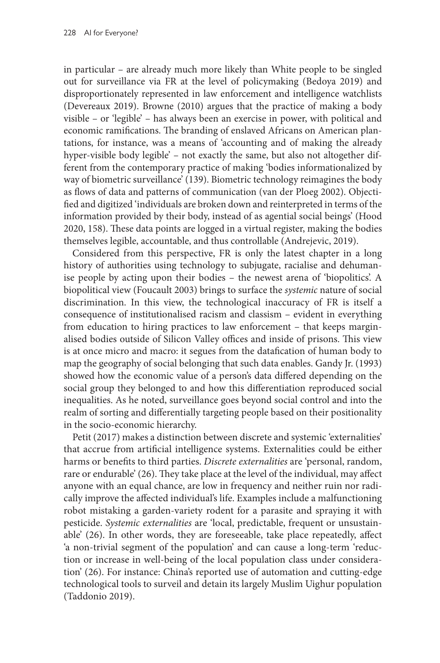in particular – are already much more likely than White people to be singled out for surveillance via FR at the level of policymaking (Bedoya 2019) and disproportionately represented in law enforcement and intelligence watchlists (Devereaux 2019). Browne (2010) argues that the practice of making a body visible – or 'legible' – has always been an exercise in power, with political and economic ramifications. The branding of enslaved Africans on American plantations, for instance, was a means of 'accounting and of making the already hyper-visible body legible' – not exactly the same, but also not altogether different from the contemporary practice of making 'bodies informationalized by way of biometric surveillance' (139). Biometric technology reimagines the body as flows of data and patterns of communication (van der Ploeg 2002). Objectified and digitized 'individuals are broken down and reinterpreted in terms of the information provided by their body, instead of as agential social beings' (Hood 2020, 158). These data points are logged in a virtual register, making the bodies themselves legible, accountable, and thus controllable (Andrejevic, 2019).

Considered from this perspective, FR is only the latest chapter in a long history of authorities using technology to subjugate, racialise and dehumanise people by acting upon their bodies – the newest arena of 'biopolitics'. A biopolitical view (Foucault 2003) brings to surface the *systemic* nature of social discrimination. In this view, the technological inaccuracy of FR is itself a consequence of institutionalised racism and classism – evident in everything from education to hiring practices to law enforcement – that keeps marginalised bodies outside of Silicon Valley offices and inside of prisons. This view is at once micro and macro: it segues from the datafication of human body to map the geography of social belonging that such data enables. Gandy Jr. (1993) showed how the economic value of a person's data differed depending on the social group they belonged to and how this differentiation reproduced social inequalities. As he noted, surveillance goes beyond social control and into the realm of sorting and differentially targeting people based on their positionality in the socio-economic hierarchy.

Petit (2017) makes a distinction between discrete and systemic 'externalities' that accrue from artificial intelligence systems. Externalities could be either harms or benefits to third parties. *Discrete externalities* are 'personal, random, rare or endurable' (26). They take place at the level of the individual, may affect anyone with an equal chance, are low in frequency and neither ruin nor radically improve the affected individual's life. Examples include a malfunctioning robot mistaking a garden-variety rodent for a parasite and spraying it with pesticide. *Systemic externalities* are 'local, predictable, frequent or unsustainable' (26). In other words, they are foreseeable, take place repeatedly, affect 'a non-trivial segment of the population' and can cause a long-term 'reduction or increase in well-being of the local population class under consideration' (26). For instance: China's reported use of automation and cutting-edge technological tools to surveil and detain its largely Muslim Uighur population (Taddonio 2019).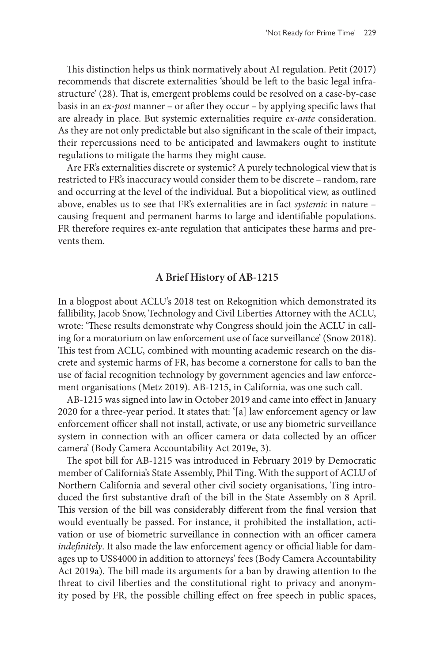This distinction helps us think normatively about AI regulation. Petit (2017) recommends that discrete externalities 'should be left to the basic legal infrastructure' (28). That is, emergent problems could be resolved on a case-by-case basis in an *ex-post* manner – or after they occur – by applying specific laws that are already in place. But systemic externalities require *ex-ante* consideration. As they are not only predictable but also significant in the scale of their impact, their repercussions need to be anticipated and lawmakers ought to institute regulations to mitigate the harms they might cause.

Are FR's externalities discrete or systemic? A purely technological view that is restricted to FR's inaccuracy would consider them to be discrete – random, rare and occurring at the level of the individual. But a biopolitical view, as outlined above, enables us to see that FR's externalities are in fact *systemic* in nature – causing frequent and permanent harms to large and identifiable populations. FR therefore requires ex-ante regulation that anticipates these harms and prevents them.

## **A Brief History of AB-1215**

In a blogpost about ACLU's 2018 test on Rekognition which demonstrated its fallibility, Jacob Snow, Technology and Civil Liberties Attorney with the ACLU, wrote: 'These results demonstrate why Congress should join the ACLU in calling for a moratorium on law enforcement use of face surveillance' (Snow 2018). This test from ACLU, combined with mounting academic research on the discrete and systemic harms of FR, has become a cornerstone for calls to ban the use of facial recognition technology by government agencies and law enforcement organisations (Metz 2019). AB-1215, in California, was one such call.

AB-1215 was signed into law in October 2019 and came into effect in January 2020 for a three-year period. It states that: '[a] law enforcement agency or law enforcement officer shall not install, activate, or use any biometric surveillance system in connection with an officer camera or data collected by an officer camera' (Body Camera Accountability Act 2019e, 3).

The spot bill for AB-1215 was introduced in February 2019 by Democratic member of California's State Assembly, Phil Ting. With the support of ACLU of Northern California and several other civil society organisations, Ting introduced the first substantive draft of the bill in the State Assembly on 8 April. This version of the bill was considerably different from the final version that would eventually be passed. For instance, it prohibited the installation, activation or use of biometric surveillance in connection with an officer camera *indefinitely*. It also made the law enforcement agency or official liable for damages up to US\$4000 in addition to attorneys' fees (Body Camera Accountability Act 2019a). The bill made its arguments for a ban by drawing attention to the threat to civil liberties and the constitutional right to privacy and anonymity posed by FR, the possible chilling effect on free speech in public spaces,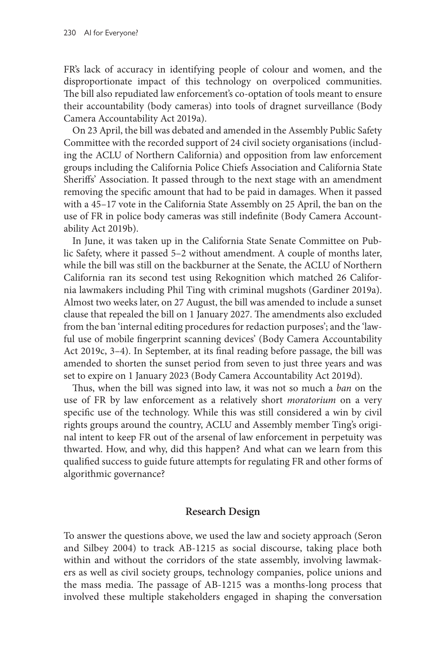FR's lack of accuracy in identifying people of colour and women, and the disproportionate impact of this technology on overpoliced communities. The bill also repudiated law enforcement's co-optation of tools meant to ensure their accountability (body cameras) into tools of dragnet surveillance (Body Camera Accountability Act 2019a).

On 23 April, the bill was debated and amended in the Assembly Public Safety Committee with the recorded support of 24 civil society organisations (including the ACLU of Northern California) and opposition from law enforcement groups including the California Police Chiefs Association and California State Sheriffs' Association. It passed through to the next stage with an amendment removing the specific amount that had to be paid in damages. When it passed with a 45–17 vote in the California State Assembly on 25 April, the ban on the use of FR in police body cameras was still indefinite (Body Camera Accountability Act 2019b).

In June, it was taken up in the California State Senate Committee on Public Safety, where it passed 5–2 without amendment. A couple of months later, while the bill was still on the backburner at the Senate, the ACLU of Northern California ran its second test using Rekognition which matched 26 California lawmakers including Phil Ting with criminal mugshots (Gardiner 2019a). Almost two weeks later, on 27 August, the bill was amended to include a sunset clause that repealed the bill on 1 January 2027. The amendments also excluded from the ban 'internal editing procedures for redaction purposes'; and the 'lawful use of mobile fingerprint scanning devices' (Body Camera Accountability Act 2019c, 3–4). In September, at its final reading before passage, the bill was amended to shorten the sunset period from seven to just three years and was set to expire on 1 January 2023 (Body Camera Accountability Act 2019d).

Thus, when the bill was signed into law, it was not so much a *ban* on the use of FR by law enforcement as a relatively short *moratorium* on a very specific use of the technology. While this was still considered a win by civil rights groups around the country, ACLU and Assembly member Ting's original intent to keep FR out of the arsenal of law enforcement in perpetuity was thwarted. How, and why, did this happen? And what can we learn from this qualified success to guide future attempts for regulating FR and other forms of algorithmic governance?

# **Research Design**

To answer the questions above, we used the law and society approach (Seron and Silbey 2004) to track AB-1215 as social discourse, taking place both within and without the corridors of the state assembly, involving lawmakers as well as civil society groups, technology companies, police unions and the mass media. The passage of AB-1215 was a months-long process that involved these multiple stakeholders engaged in shaping the conversation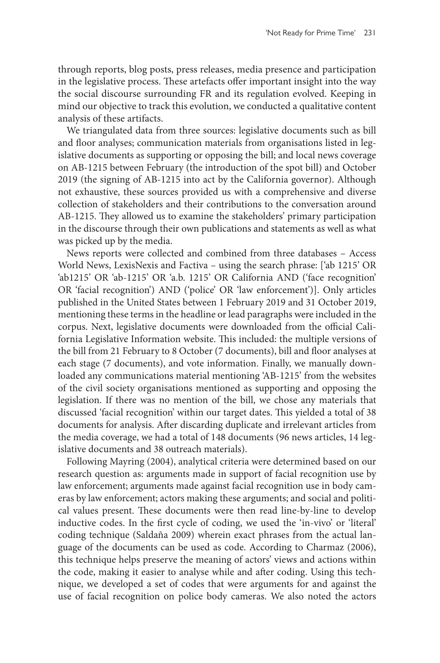through reports, blog posts, press releases, media presence and participation in the legislative process. These artefacts offer important insight into the way the social discourse surrounding FR and its regulation evolved. Keeping in mind our objective to track this evolution, we conducted a qualitative content analysis of these artifacts.

We triangulated data from three sources: legislative documents such as bill and floor analyses; communication materials from organisations listed in legislative documents as supporting or opposing the bill; and local news coverage on AB-1215 between February (the introduction of the spot bill) and October 2019 (the signing of AB-1215 into act by the California governor). Although not exhaustive, these sources provided us with a comprehensive and diverse collection of stakeholders and their contributions to the conversation around AB-1215. They allowed us to examine the stakeholders' primary participation in the discourse through their own publications and statements as well as what was picked up by the media.

News reports were collected and combined from three databases – Access World News, LexisNexis and Factiva – using the search phrase: ['ab 1215' OR 'ab1215' OR 'ab-1215' OR 'a.b. 1215' OR California AND ('face recognition' OR 'facial recognition') AND ('police' OR 'law enforcement')]. Only articles published in the United States between 1 February 2019 and 31 October 2019, mentioning these terms in the headline or lead paragraphs were included in the corpus. Next, legislative documents were downloaded from the official California Legislative Information website. This included: the multiple versions of the bill from 21 February to 8 October (7 documents), bill and floor analyses at each stage (7 documents), and vote information. Finally, we manually downloaded any communications material mentioning 'AB-1215' from the websites of the civil society organisations mentioned as supporting and opposing the legislation. If there was no mention of the bill, we chose any materials that discussed 'facial recognition' within our target dates. This yielded a total of 38 documents for analysis. After discarding duplicate and irrelevant articles from the media coverage, we had a total of 148 documents (96 news articles, 14 legislative documents and 38 outreach materials).

Following Mayring (2004), analytical criteria were determined based on our research question as: arguments made in support of facial recognition use by law enforcement; arguments made against facial recognition use in body cameras by law enforcement; actors making these arguments; and social and political values present. These documents were then read line-by-line to develop inductive codes. In the first cycle of coding, we used the 'in-vivo' or 'literal' coding technique (Saldaña 2009) wherein exact phrases from the actual language of the documents can be used as code. According to Charmaz (2006), this technique helps preserve the meaning of actors' views and actions within the code, making it easier to analyse while and after coding. Using this technique, we developed a set of codes that were arguments for and against the use of facial recognition on police body cameras. We also noted the actors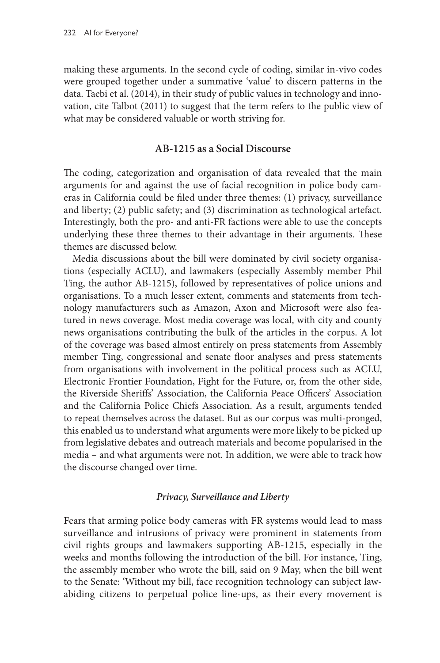making these arguments. In the second cycle of coding, similar in-vivo codes were grouped together under a summative 'value' to discern patterns in the data. Taebi et al. (2014), in their study of public values in technology and innovation, cite Talbot (2011) to suggest that the term refers to the public view of what may be considered valuable or worth striving for.

# **AB-1215 as a Social Discourse**

The coding, categorization and organisation of data revealed that the main arguments for and against the use of facial recognition in police body cameras in California could be filed under three themes: (1) privacy, surveillance and liberty; (2) public safety; and (3) discrimination as technological artefact. Interestingly, both the pro- and anti-FR factions were able to use the concepts underlying these three themes to their advantage in their arguments. These themes are discussed below.

Media discussions about the bill were dominated by civil society organisations (especially ACLU), and lawmakers (especially Assembly member Phil Ting, the author AB-1215), followed by representatives of police unions and organisations. To a much lesser extent, comments and statements from technology manufacturers such as Amazon, Axon and Microsoft were also featured in news coverage. Most media coverage was local, with city and county news organisations contributing the bulk of the articles in the corpus. A lot of the coverage was based almost entirely on press statements from Assembly member Ting, congressional and senate floor analyses and press statements from organisations with involvement in the political process such as ACLU, Electronic Frontier Foundation, Fight for the Future, or, from the other side, the Riverside Sheriffs' Association, the California Peace Officers' Association and the California Police Chiefs Association. As a result, arguments tended to repeat themselves across the dataset. But as our corpus was multi-pronged, this enabled us to understand what arguments were more likely to be picked up from legislative debates and outreach materials and become popularised in the media – and what arguments were not. In addition, we were able to track how the discourse changed over time.

## *Privacy, Surveillance and Liberty*

Fears that arming police body cameras with FR systems would lead to mass surveillance and intrusions of privacy were prominent in statements from civil rights groups and lawmakers supporting AB-1215, especially in the weeks and months following the introduction of the bill. For instance, Ting, the assembly member who wrote the bill, said on 9 May, when the bill went to the Senate: 'Without my bill, face recognition technology can subject lawabiding citizens to perpetual police line-ups, as their every movement is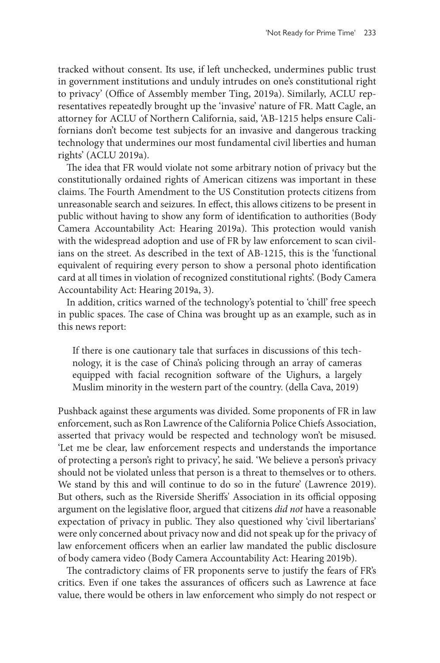tracked without consent. Its use, if left unchecked, undermines public trust in government institutions and unduly intrudes on one's constitutional right to privacy' (Office of Assembly member Ting, 2019a). Similarly, ACLU representatives repeatedly brought up the 'invasive' nature of FR. Matt Cagle, an attorney for ACLU of Northern California, said, 'AB-1215 helps ensure Californians don't become test subjects for an invasive and dangerous tracking technology that undermines our most fundamental civil liberties and human rights' (ACLU 2019a).

The idea that FR would violate not some arbitrary notion of privacy but the constitutionally ordained rights of American citizens was important in these claims. The Fourth Amendment to the US Constitution protects citizens from unreasonable search and seizures. In effect, this allows citizens to be present in public without having to show any form of identification to authorities (Body Camera Accountability Act: Hearing 2019a). This protection would vanish with the widespread adoption and use of FR by law enforcement to scan civilians on the street. As described in the text of AB-1215, this is the 'functional equivalent of requiring every person to show a personal photo identification card at all times in violation of recognized constitutional rights'. (Body Camera Accountability Act: Hearing 2019a, 3).

In addition, critics warned of the technology's potential to 'chill' free speech in public spaces. The case of China was brought up as an example, such as in this news report:

If there is one cautionary tale that surfaces in discussions of this technology, it is the case of China's policing through an array of cameras equipped with facial recognition software of the Uighurs, a largely Muslim minority in the western part of the country. (della Cava, 2019)

Pushback against these arguments was divided. Some proponents of FR in law enforcement, such as Ron Lawrence of the California Police Chiefs Association, asserted that privacy would be respected and technology won't be misused. 'Let me be clear, law enforcement respects and understands the importance of protecting a person's right to privacy', he said. 'We believe a person's privacy should not be violated unless that person is a threat to themselves or to others. We stand by this and will continue to do so in the future' (Lawrence 2019). But others, such as the Riverside Sheriffs' Association in its official opposing argument on the legislative floor, argued that citizens *did not* have a reasonable expectation of privacy in public. They also questioned why 'civil libertarians' were only concerned about privacy now and did not speak up for the privacy of law enforcement officers when an earlier law mandated the public disclosure of body camera video (Body Camera Accountability Act: Hearing 2019b).

The contradictory claims of FR proponents serve to justify the fears of FR's critics. Even if one takes the assurances of officers such as Lawrence at face value, there would be others in law enforcement who simply do not respect or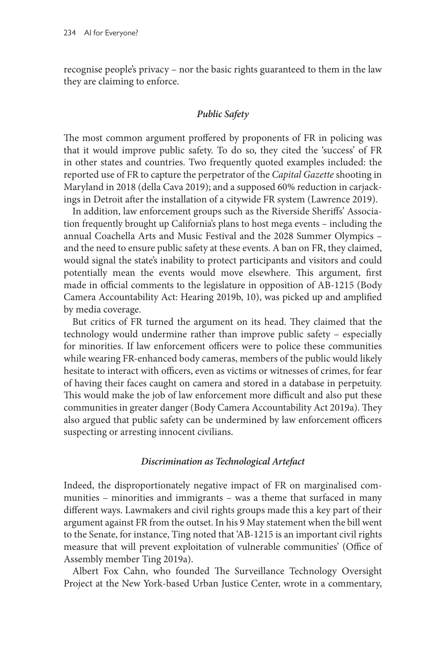recognise people's privacy – nor the basic rights guaranteed to them in the law they are claiming to enforce.

# *Public Safety*

The most common argument proffered by proponents of FR in policing was that it would improve public safety. To do so, they cited the 'success' of FR in other states and countries. Two frequently quoted examples included: the reported use of FR to capture the perpetrator of the *Capital Gazette* shooting in Maryland in 2018 (della Cava 2019); and a supposed 60% reduction in carjackings in Detroit after the installation of a citywide FR system (Lawrence 2019).

In addition, law enforcement groups such as the Riverside Sheriffs' Association frequently brought up California's plans to host mega events – including the annual Coachella Arts and Music Festival and the 2028 Summer Olympics – and the need to ensure public safety at these events. A ban on FR, they claimed, would signal the state's inability to protect participants and visitors and could potentially mean the events would move elsewhere. This argument, first made in official comments to the legislature in opposition of AB-1215 (Body Camera Accountability Act: Hearing 2019b, 10), was picked up and amplified by media coverage.

But critics of FR turned the argument on its head. They claimed that the technology would undermine rather than improve public safety – especially for minorities. If law enforcement officers were to police these communities while wearing FR-enhanced body cameras, members of the public would likely hesitate to interact with officers, even as victims or witnesses of crimes, for fear of having their faces caught on camera and stored in a database in perpetuity. This would make the job of law enforcement more difficult and also put these communities in greater danger (Body Camera Accountability Act 2019a). They also argued that public safety can be undermined by law enforcement officers suspecting or arresting innocent civilians.

## *Discrimination as Technological Artefact*

Indeed, the disproportionately negative impact of FR on marginalised communities – minorities and immigrants – was a theme that surfaced in many different ways. Lawmakers and civil rights groups made this a key part of their argument against FR from the outset. In his 9 May statement when the bill went to the Senate, for instance, Ting noted that 'AB-1215 is an important civil rights measure that will prevent exploitation of vulnerable communities' (Office of Assembly member Ting 2019a).

Albert Fox Cahn, who founded The Surveillance Technology Oversight Project at the New York-based Urban Justice Center, wrote in a commentary,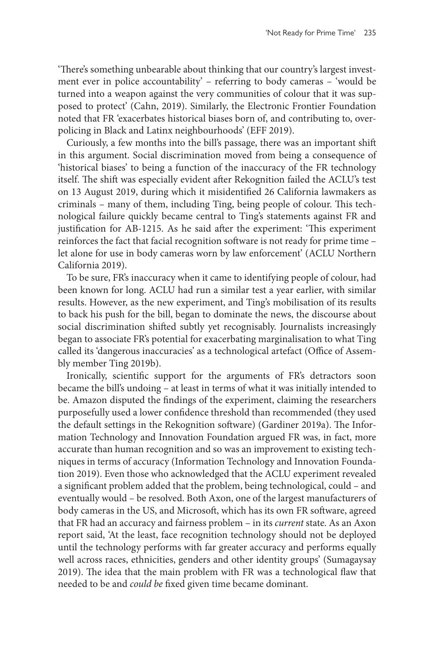'There's something unbearable about thinking that our country's largest investment ever in police accountability' – referring to body cameras – 'would be turned into a weapon against the very communities of colour that it was supposed to protect' (Cahn, 2019). Similarly, the Electronic Frontier Foundation noted that FR 'exacerbates historical biases born of, and contributing to, overpolicing in Black and Latinx neighbourhoods' (EFF 2019).

Curiously, a few months into the bill's passage, there was an important shift in this argument. Social discrimination moved from being a consequence of 'historical biases' to being a function of the inaccuracy of the FR technology itself. The shift was especially evident after Rekognition failed the ACLU's test on 13 August 2019, during which it misidentified 26 California lawmakers as criminals – many of them, including Ting, being people of colour. This technological failure quickly became central to Ting's statements against FR and justification for AB-1215. As he said after the experiment: 'This experiment reinforces the fact that facial recognition software is not ready for prime time – let alone for use in body cameras worn by law enforcement' (ACLU Northern California 2019).

To be sure, FR's inaccuracy when it came to identifying people of colour, had been known for long. ACLU had run a similar test a year earlier, with similar results. However, as the new experiment, and Ting's mobilisation of its results to back his push for the bill, began to dominate the news, the discourse about social discrimination shifted subtly yet recognisably. Journalists increasingly began to associate FR's potential for exacerbating marginalisation to what Ting called its 'dangerous inaccuracies' as a technological artefact (Office of Assembly member Ting 2019b).

Ironically, scientific support for the arguments of FR's detractors soon became the bill's undoing – at least in terms of what it was initially intended to be. Amazon disputed the findings of the experiment, claiming the researchers purposefully used a lower confidence threshold than recommended (they used the default settings in the Rekognition software) (Gardiner 2019a). The Information Technology and Innovation Foundation argued FR was, in fact, more accurate than human recognition and so was an improvement to existing techniques in terms of accuracy (Information Technology and Innovation Foundation 2019). Even those who acknowledged that the ACLU experiment revealed a significant problem added that the problem, being technological, could – and eventually would – be resolved. Both Axon, one of the largest manufacturers of body cameras in the US, and Microsoft, which has its own FR software, agreed that FR had an accuracy and fairness problem – in its *current* state. As an Axon report said, 'At the least, face recognition technology should not be deployed until the technology performs with far greater accuracy and performs equally well across races, ethnicities, genders and other identity groups' (Sumagaysay 2019). The idea that the main problem with FR was a technological flaw that needed to be and *could be* fixed given time became dominant.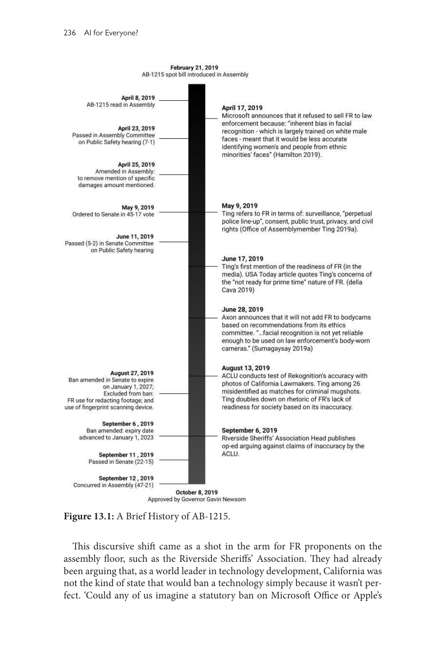**February 21, 2019** AB-1215 spot bill introduced in Assembly



**Figure 13.1:** A Brief History of AB-1215.

This discursive shift came as a shot in the arm for FR proponents on the assembly floor, such as the Riverside Sheriffs' Association. They had already been arguing that, as a world leader in technology development, California was not the kind of state that would ban a technology simply because it wasn't perfect. 'Could any of us imagine a statutory ban on Microsoft Office or Apple's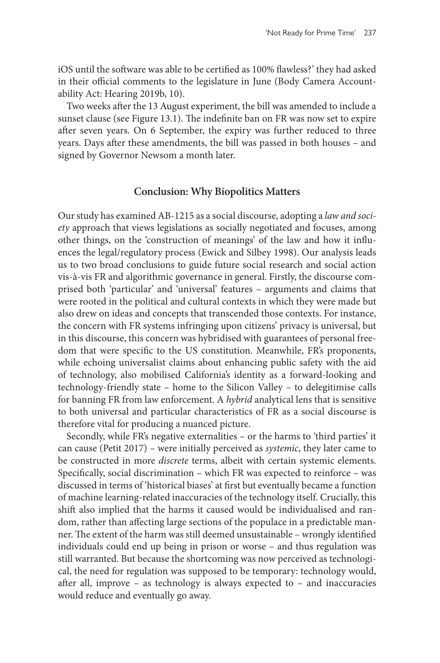iOS until the software was able to be certified as 100% flawless?' they had asked in their official comments to the legislature in June (Body Camera Accountability Act: Hearing 2019b, 10).

Two weeks after the 13 August experiment, the bill was amended to include a sunset clause (see Figure 13.1). The indefinite ban on FR was now set to expire after seven years. On 6 September, the expiry was further reduced to three years. Days after these amendments, the bill was passed in both houses – and signed by Governor Newsom a month later.

## **Conclusion: Why Biopolitics Matters**

Our study has examined AB-1215 as a social discourse, adopting a *law and society* approach that views legislations as socially negotiated and focuses, among other things, on the 'construction of meanings' of the law and how it influences the legal/regulatory process (Ewick and Silbey 1998). Our analysis leads us to two broad conclusions to guide future social research and social action vis-à-vis FR and algorithmic governance in general. Firstly, the discourse comprised both 'particular' and 'universal' features – arguments and claims that were rooted in the political and cultural contexts in which they were made but also drew on ideas and concepts that transcended those contexts. For instance, the concern with FR systems infringing upon citizens' privacy is universal, but in this discourse, this concern was hybridised with guarantees of personal freedom that were specific to the US constitution. Meanwhile, FR's proponents, while echoing universalist claims about enhancing public safety with the aid of technology, also mobilised California's identity as a forward-looking and technology-friendly state – home to the Silicon Valley – to delegitimise calls for banning FR from law enforcement. A *hybrid* analytical lens that is sensitive to both universal and particular characteristics of FR as a social discourse is therefore vital for producing a nuanced picture.

Secondly, while FR's negative externalities – or the harms to 'third parties' it can cause (Petit 2017) – were initially perceived as *systemic*, they later came to be constructed in more *discrete* terms, albeit with certain systemic elements. Specifically, social discrimination – which FR was expected to reinforce – was discussed in terms of 'historical biases' at first but eventually became a function of machine learning-related inaccuracies of the technology itself. Crucially, this shift also implied that the harms it caused would be individualised and random, rather than affecting large sections of the populace in a predictable manner. The extent of the harm was still deemed unsustainable – wrongly identified individuals could end up being in prison or worse – and thus regulation was still warranted. But because the shortcoming was now perceived as technological, the need for regulation was supposed to be temporary: technology would, after all, improve – as technology is always expected to – and inaccuracies would reduce and eventually go away.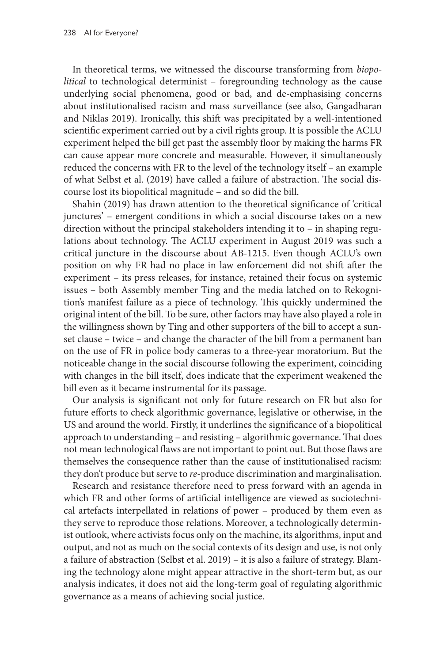In theoretical terms, we witnessed the discourse transforming from *biopolitical* to technological determinist – foregrounding technology as the cause underlying social phenomena, good or bad, and de-emphasising concerns about institutionalised racism and mass surveillance (see also, Gangadharan and Niklas 2019). Ironically, this shift was precipitated by a well-intentioned scientific experiment carried out by a civil rights group. It is possible the ACLU experiment helped the bill get past the assembly floor by making the harms FR can cause appear more concrete and measurable. However, it simultaneously reduced the concerns with FR to the level of the technology itself – an example of what Selbst et al. (2019) have called a failure of abstraction. The social discourse lost its biopolitical magnitude – and so did the bill.

Shahin (2019) has drawn attention to the theoretical significance of 'critical junctures' – emergent conditions in which a social discourse takes on a new direction without the principal stakeholders intending it to – in shaping regulations about technology. The ACLU experiment in August 2019 was such a critical juncture in the discourse about AB-1215. Even though ACLU's own position on why FR had no place in law enforcement did not shift after the experiment – its press releases, for instance, retained their focus on systemic issues – both Assembly member Ting and the media latched on to Rekognition's manifest failure as a piece of technology. This quickly undermined the original intent of the bill. To be sure, other factors may have also played a role in the willingness shown by Ting and other supporters of the bill to accept a sunset clause – twice – and change the character of the bill from a permanent ban on the use of FR in police body cameras to a three-year moratorium. But the noticeable change in the social discourse following the experiment, coinciding with changes in the bill itself, does indicate that the experiment weakened the bill even as it became instrumental for its passage.

Our analysis is significant not only for future research on FR but also for future efforts to check algorithmic governance, legislative or otherwise, in the US and around the world. Firstly, it underlines the significance of a biopolitical approach to understanding – and resisting – algorithmic governance. That does not mean technological flaws are not important to point out. But those flaws are themselves the consequence rather than the cause of institutionalised racism: they don't produce but serve to *re*-produce discrimination and marginalisation.

Research and resistance therefore need to press forward with an agenda in which FR and other forms of artificial intelligence are viewed as sociotechnical artefacts interpellated in relations of power – produced by them even as they serve to reproduce those relations. Moreover, a technologically determinist outlook, where activists focus only on the machine, its algorithms, input and output, and not as much on the social contexts of its design and use, is not only a failure of abstraction (Selbst et al. 2019) – it is also a failure of strategy. Blaming the technology alone might appear attractive in the short-term but, as our analysis indicates, it does not aid the long-term goal of regulating algorithmic governance as a means of achieving social justice.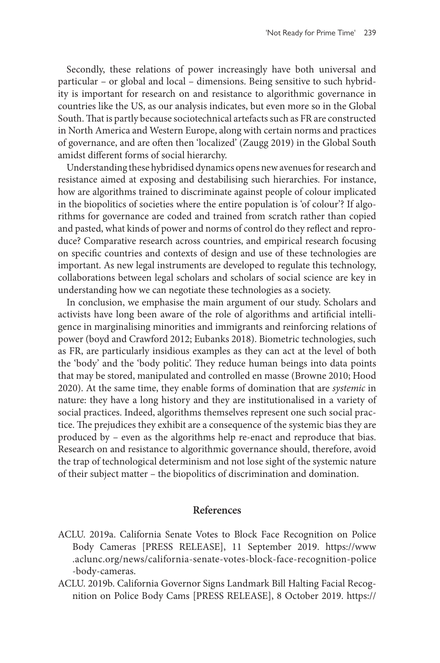Secondly, these relations of power increasingly have both universal and particular – or global and local – dimensions. Being sensitive to such hybridity is important for research on and resistance to algorithmic governance in countries like the US, as our analysis indicates, but even more so in the Global South. That is partly because sociotechnical artefacts such as FR are constructed in North America and Western Europe, along with certain norms and practices of governance, and are often then 'localized' (Zaugg 2019) in the Global South amidst different forms of social hierarchy.

Understanding these hybridised dynamics opens new avenues for research and resistance aimed at exposing and destabilising such hierarchies. For instance, how are algorithms trained to discriminate against people of colour implicated in the biopolitics of societies where the entire population is 'of colour'? If algorithms for governance are coded and trained from scratch rather than copied and pasted, what kinds of power and norms of control do they reflect and reproduce? Comparative research across countries, and empirical research focusing on specific countries and contexts of design and use of these technologies are important. As new legal instruments are developed to regulate this technology, collaborations between legal scholars and scholars of social science are key in understanding how we can negotiate these technologies as a society.

In conclusion, we emphasise the main argument of our study. Scholars and activists have long been aware of the role of algorithms and artificial intelligence in marginalising minorities and immigrants and reinforcing relations of power (boyd and Crawford 2012; Eubanks 2018). Biometric technologies, such as FR, are particularly insidious examples as they can act at the level of both the 'body' and the 'body politic'. They reduce human beings into data points that may be stored, manipulated and controlled en masse (Browne 2010; Hood 2020). At the same time, they enable forms of domination that are *systemic* in nature: they have a long history and they are institutionalised in a variety of social practices. Indeed, algorithms themselves represent one such social practice. The prejudices they exhibit are a consequence of the systemic bias they are produced by – even as the algorithms help re-enact and reproduce that bias. Research on and resistance to algorithmic governance should, therefore, avoid the trap of technological determinism and not lose sight of the systemic nature of their subject matter – the biopolitics of discrimination and domination.

## **References**

- ACLU. 2019a. California Senate Votes to Block Face Recognition on Police Body Cameras [PRESS RELEASE], 11 September 2019. [https://www](https://www.aclunc.org/news/california-senate-votes-block-face-recognition-police-body-cameras) [.aclunc.org/news/california-senate-votes-block-face-recognition-police](https://www.aclunc.org/news/california-senate-votes-block-face-recognition-police-body-cameras) [-body-cameras.](https://www.aclunc.org/news/california-senate-votes-block-face-recognition-police-body-cameras)
- ACLU. 2019b. California Governor Signs Landmark Bill Halting Facial Recognition on Police Body Cams [PRESS RELEASE], 8 October 2019. [https://](https://www.aclunc.org/news/california-governor-signs-landmark-bill-halting-facial-recognition-police-body-cams)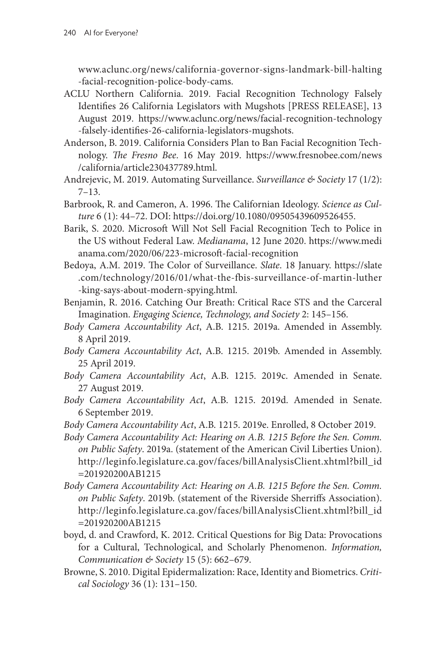[www.aclunc.org/news/california-governor-signs-landmark-bill-halting](https://www.aclunc.org/news/california-governor-signs-landmark-bill-halting-facial-recognition-police-body-cams) [-facial-recognition-police-body-cams](https://www.aclunc.org/news/california-governor-signs-landmark-bill-halting-facial-recognition-police-body-cams).

- ACLU Northern California. 2019. Facial Recognition Technology Falsely Identifies 26 California Legislators with Mugshots [PRESS RELEASE], 13 August 2019. [https://www.aclunc.org/news/facial-recognition-technology](https://www.aclunc.org/news/facial-recognition-technology-falsely-identifies-26-california-legislators-mugshots) [-falsely-identifies-26-california-legislators-mugshots.](https://www.aclunc.org/news/facial-recognition-technology-falsely-identifies-26-california-legislators-mugshots)
- Anderson, B. 2019. California Considers Plan to Ban Facial Recognition Technology. *The Fresno Bee*. 16 May 2019. [https://www.fresnobee.com/news](https://www.fresnobee.com/news/california/article230437789.html) [/california/article230437789.html.](https://www.fresnobee.com/news/california/article230437789.html)
- Andrejevic, M. 2019. Automating Surveillance. *Surveillance & Society* 17 (1/2):  $7 - 13$ .
- Barbrook, R. and Cameron, A. 1996. The Californian Ideology. *Science as Culture* 6 (1): 44–72. DOI: <https://doi.org/10.1080/09505439609526455>.
- Barik, S. 2020. Microsoft Will Not Sell Facial Recognition Tech to Police in the US without Federal Law. *Medianama*, 12 June 2020. [https://www.medi](https://www.medianama.com/2020/06/223-microsoft-facial-recognition) [anama.com/2020/06/223-microsoft-facial-recognition](https://www.medianama.com/2020/06/223-microsoft-facial-recognition)
- Bedoya, A.M. 2019. The Color of Surveillance. *Slate*. 18 January. [https://slate](https://slate.com/technology/2016/01/what-the-fbis-surveillance-of-martin-luther-king-says-about-modern-spying.html) [.com/technology/2016/01/what-the-fbis-surveillance-of-martin-luther](https://slate.com/technology/2016/01/what-the-fbis-surveillance-of-martin-luther-king-says-about-modern-spying.html) [-king-says-about-modern-spying.html](https://slate.com/technology/2016/01/what-the-fbis-surveillance-of-martin-luther-king-says-about-modern-spying.html).
- Benjamin, R. 2016. Catching Our Breath: Critical Race STS and the Carceral Imagination. *Engaging Science, Technology, and Society* 2: 145–156.
- *Body Camera Accountability Act*, A.B. 1215. 2019a. Amended in Assembly. 8 April 2019.
- *Body Camera Accountability Act*, A.B. 1215. 2019b. Amended in Assembly. 25 April 2019.
- *Body Camera Accountability Act*, A.B. 1215. 2019c. Amended in Senate. 27 August 2019.
- *Body Camera Accountability Act*, A.B. 1215. 2019d. Amended in Senate. 6 September 2019.
- *Body Camera Accountability Act*, A.B. 1215. 2019e. Enrolled, 8 October 2019.
- *Body Camera Accountability Act: Hearing on A.B. 1215 Before the Sen. Comm. on Public Safety*. 2019a. (statement of the American Civil Liberties Union). [http://leginfo.legislature.ca.gov/faces/billAnalysisClient.xhtml?bill\\_id](http://leginfo.legislature.ca.gov/faces/billAnalysisClient.xhtml?bill_id=201920200AB1215) [=201920200AB1215](http://leginfo.legislature.ca.gov/faces/billAnalysisClient.xhtml?bill_id=201920200AB1215)
- *Body Camera Accountability Act: Hearing on A.B. 1215 Before the Sen. Comm. on Public Safety*. 2019b. (statement of the Riverside Sherriffs Association). [http://leginfo.legislature.ca.gov/faces/billAnalysisClient.xhtml?bill\\_id](http://leginfo.legislature.ca.gov/faces/billAnalysisClient.xhtml?bill_id=201920200AB1215) [=201920200AB1215](http://leginfo.legislature.ca.gov/faces/billAnalysisClient.xhtml?bill_id=201920200AB1215)
- boyd, d. and Crawford, K. 2012. Critical Questions for Big Data: Provocations for a Cultural, Technological, and Scholarly Phenomenon. *Information, Communication & Society* 15 (5): 662–679.
- Browne, S. 2010. Digital Epidermalization: Race, Identity and Biometrics. *Critical Sociology* 36 (1): 131–150.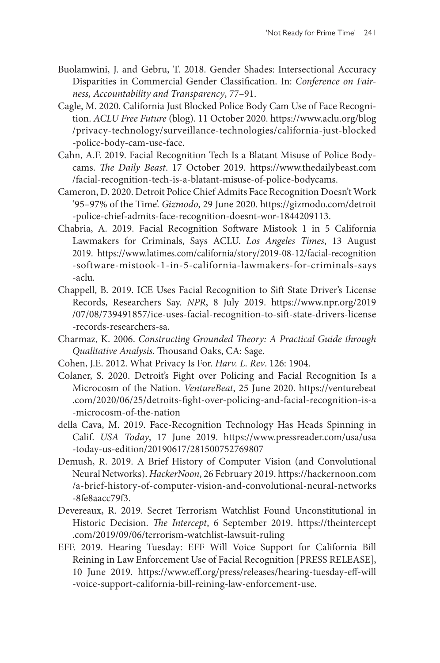- Buolamwini, J. and Gebru, T. 2018. Gender Shades: Intersectional Accuracy Disparities in Commercial Gender Classification. In: *Conference on Fairness, Accountability and Transparency*, 77–91.
- Cagle, M. 2020. California Just Blocked Police Body Cam Use of Face Recognition. *ACLU Free Future* (blog). 11 October 2020. [https://www.aclu.org/blog](https://www.aclu.org/blog/privacy-technology/surveillance-technologies/california-just-blocked-police-body-cam-use-face) [/privacy-technology/surveillance-technologies/california-just-blocked](https://www.aclu.org/blog/privacy-technology/surveillance-technologies/california-just-blocked-police-body-cam-use-face) [-police-body-cam-use-face.](https://www.aclu.org/blog/privacy-technology/surveillance-technologies/california-just-blocked-police-body-cam-use-face)
- Cahn, A.F. 2019. Facial Recognition Tech Is a Blatant Misuse of Police Bodycams. *The Daily Beast*. 17 October 2019. [https://www.thedailybeast.com](https://www.thedailybeast.com/facial-recognition-tech-is-a-blatant-misuse-of-police-bodycams) [/facial-recognition-tech-is-a-blatant-misuse-of-police-bodycams.](https://www.thedailybeast.com/facial-recognition-tech-is-a-blatant-misuse-of-police-bodycams)
- Cameron, D. 2020. Detroit Police Chief Admits Face Recognition Doesn't Work '95–97% of the Time'. *Gizmodo*, 29 June 2020. [https://gizmodo.com/detroit](https://gizmodo.com/detroit-police-chief-admits-face-recognition-doesnt-wor-1844209113) [-police-chief-admits-face-recognition-doesnt-wor-1844209113.](https://gizmodo.com/detroit-police-chief-admits-face-recognition-doesnt-wor-1844209113)
- Chabria, A. 2019. Facial Recognition Software Mistook 1 in 5 California Lawmakers for Criminals, Says ACLU. *Los Angeles Times*, 13 August 2019. [https://www.latimes.com/california/story/2019-08-12/facial-recognition](https://www.latimes.com/california/story/2019-08-12/facial-recognition-software-mistook-1-in-5-california-lawmakers-for-criminals-says-aclu) [-software-mistook-1-in-5-california-lawmakers-for-criminals-says](https://www.latimes.com/california/story/2019-08-12/facial-recognition-software-mistook-1-in-5-california-lawmakers-for-criminals-says-aclu) [-aclu.](https://www.latimes.com/california/story/2019-08-12/facial-recognition-software-mistook-1-in-5-california-lawmakers-for-criminals-says-aclu)
- Chappell, B. 2019. ICE Uses Facial Recognition to Sift State Driver's License Records, Researchers Say. *NPR*, 8 July 2019. [https://www.npr.org/2019](https://www.npr.org/2019/07/08/739491857/ice-uses-facial-recognition-to-sift-state-drivers-license-records-researchers-sa) [/07/08/739491857/ice-uses-facial-recognition-to-sift-state-drivers-license](https://www.npr.org/2019/07/08/739491857/ice-uses-facial-recognition-to-sift-state-drivers-license-records-researchers-sa) [-records-researchers-sa](https://www.npr.org/2019/07/08/739491857/ice-uses-facial-recognition-to-sift-state-drivers-license-records-researchers-sa).
- Charmaz, K. 2006. *Constructing Grounded Theory: A Practical Guide through Qualitative Analysis*. Thousand Oaks, CA: Sage.
- Cohen, J.E. 2012. What Privacy Is For. *Harv. L. Rev*. 126: 1904.
- Colaner, S. 2020. Detroit's Fight over Policing and Facial Recognition Is a Microcosm of the Nation. *VentureBeat*, 25 June 2020. [https://venturebeat](https://venturebeat.com/2020/06/25/detroits-fight-over-policing-and-facial-recognition-is-a-microcosm-of-the-nation) [.com/2020/06/25/detroits-fight-over-policing-and-facial-recognition-is-a](https://venturebeat.com/2020/06/25/detroits-fight-over-policing-and-facial-recognition-is-a-microcosm-of-the-nation) [-microcosm-of-the-nation](https://venturebeat.com/2020/06/25/detroits-fight-over-policing-and-facial-recognition-is-a-microcosm-of-the-nation)
- della Cava, M. 2019. Face-Recognition Technology Has Heads Spinning in Calif. *USA Today*, 17 June 2019. [https://www.pressreader.com/usa/usa](https://www.pressreader.com/usa/usa-today-us-edition/20190617/281500752769807) [-today-us-edition/20190617/281500752769807](https://www.pressreader.com/usa/usa-today-us-edition/20190617/281500752769807)
- Demush, R. 2019. A Brief History of Computer Vision (and Convolutional Neural Networks). *HackerNoon*, 26 February 2019. [https://hackernoon.com](https://hackernoon.com/a-brief-history-of-computer-vision-and-convolutional-neural-networks-8fe8aacc79f3) [/a-brief-history-of-computer-vision-and-convolutional-neural-networks](https://hackernoon.com/a-brief-history-of-computer-vision-and-convolutional-neural-networks-8fe8aacc79f3) [-8fe8aacc79f3.](https://hackernoon.com/a-brief-history-of-computer-vision-and-convolutional-neural-networks-8fe8aacc79f3)
- Devereaux, R. 2019. Secret Terrorism Watchlist Found Unconstitutional in Historic Decision. *The Intercept*, 6 September 2019. [https://theintercept](https://theintercept.com/2019/09/06/terrorism-watchlist-lawsuit-ruling) [.com/2019/09/06/terrorism-watchlist-lawsuit-ruling](https://theintercept.com/2019/09/06/terrorism-watchlist-lawsuit-ruling)
- EFF. 2019. Hearing Tuesday: EFF Will Voice Support for California Bill Reining in Law Enforcement Use of Facial Recognition [PRESS RELEASE], 10 June 2019. [https://www.eff.org/press/releases/hearing-tuesday-eff-will](https://www.eff.org/press/releases/hearing-tuesday-eff-will-voice-support-california-bill-reining-law-enforcement-use) [-voice-support-california-bill-reining-law-enforcement-use.](https://www.eff.org/press/releases/hearing-tuesday-eff-will-voice-support-california-bill-reining-law-enforcement-use)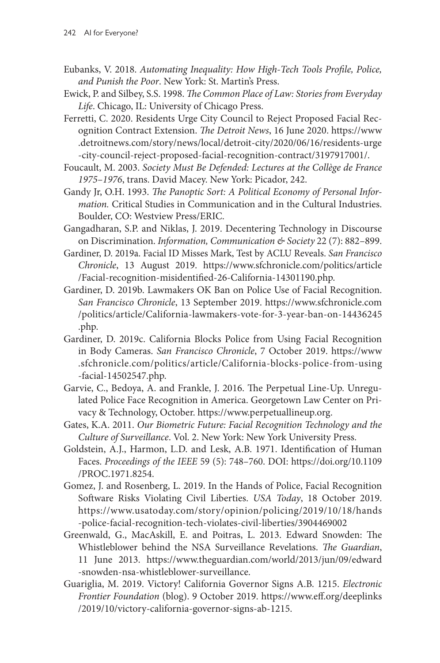- Eubanks, V. 2018. *Automating Inequality: How High-Tech Tools Profile, Police, and Punish the Poor*. New York: St. Martin's Press.
- Ewick, P. and Silbey, S.S. 1998. *The Common Place of Law: Stories from Everyday Life*. Chicago, IL: University of Chicago Press.
- Ferretti, C. 2020. Residents Urge City Council to Reject Proposed Facial Recognition Contract Extension. *The Detroit News*, 16 June 2020. [https://www](https://www.detroitnews.com/story/news/local/detroit-city/2020/06/16/residents-urge-city-council-reject-proposed-facial-recognition-contract/3197917001/) [.detroitnews.com/story/news/local/detroit-city/2020/06/16/residents-urge](https://www.detroitnews.com/story/news/local/detroit-city/2020/06/16/residents-urge-city-council-reject-proposed-facial-recognition-contract/3197917001/) [-city-council-reject-proposed-facial-recognition-contract/3197917001/](https://www.detroitnews.com/story/news/local/detroit-city/2020/06/16/residents-urge-city-council-reject-proposed-facial-recognition-contract/3197917001/).
- Foucault, M. 2003. *Society Must Be Defended: Lectures at the Collège de France 1975–1976*, trans. David Macey. New York: Picador, 242.
- Gandy Jr, O.H. 1993. *The Panoptic Sort: A Political Economy of Personal Information.* Critical Studies in Communication and in the Cultural Industries. Boulder, CO: Westview Press/ERIC.
- Gangadharan, S.P. and Niklas, J. 2019. Decentering Technology in Discourse on Discrimination. *Information, Communication & Society* 22 (7): 882–899.
- Gardiner, D. 2019a. Facial ID Misses Mark, Test by ACLU Reveals. *San Francisco Chronicle*, 13 August 2019. [https://www.sfchronicle.com/politics/article](https://www.sfchronicle.com/politics/article/Facial-recognition-misidentified-26-California-14301190.php) [/Facial-recognition-misidentified-26-California-14301190.php](https://www.sfchronicle.com/politics/article/Facial-recognition-misidentified-26-California-14301190.php).
- Gardiner, D. 2019b. Lawmakers OK Ban on Police Use of Facial Recognition. *San Francisco Chronicle*, 13 September 2019. [https://www.sfchronicle.com](https://www.sfchronicle.com/politics/article/California-lawmakers-vote-for-3-year-ban-on-14436245.php) [/politics/article/California-lawmakers-vote-for-3-year-ban-on-14436245](https://www.sfchronicle.com/politics/article/California-lawmakers-vote-for-3-year-ban-on-14436245.php) [.php](https://www.sfchronicle.com/politics/article/California-lawmakers-vote-for-3-year-ban-on-14436245.php).
- Gardiner, D. 2019c. California Blocks Police from Using Facial Recognition in Body Cameras. *San Francisco Chronicle*, 7 October 2019. [https://www](https://www.sfchronicle.com/politics/article/California-blocks-police-from-using-facial-14502547.php) [.sfchronicle.com/politics/article/California-blocks-police-from-using](https://www.sfchronicle.com/politics/article/California-blocks-police-from-using-facial-14502547.php) [-facial-14502547.php.](https://www.sfchronicle.com/politics/article/California-blocks-police-from-using-facial-14502547.php)
- Garvie, C., Bedoya, A. and Frankle, J. 2016. The Perpetual Line-Up. Unregulated Police Face Recognition in America. Georgetown Law Center on Privacy & Technology, October. [https://www.perpetuallineup.org.](https://www.perpetuallineup.org/)
- Gates, K.A. 2011. *Our Biometric Future: Facial Recognition Technology and the Culture of Surveillance*. Vol. 2. New York: New York University Press.
- Goldstein, A.J., Harmon, L.D. and Lesk, A.B. 1971. Identification of Human Faces. *Proceedings of the IEEE* 59 (5): 748–760. DOI: [https://doi.org/10.1109](https://doi.org/10.1109/PROC.1971.8254) [/PROC.1971.8254.](https://doi.org/10.1109/PROC.1971.8254)
- Gomez, J. and Rosenberg, L. 2019. In the Hands of Police, Facial Recognition Software Risks Violating Civil Liberties. *USA Today*, 18 October 2019. [https://www.usatoday.com/story/opinion/policing/2019/10/18/hands](https://www.usatoday.com/story/opinion/policing/2019/10/18/hands-police-facial-recognition-tech-violates-civil-liberties/3904469002) [-police-facial-recognition-tech-violates-civil-liberties/3904469002](https://www.usatoday.com/story/opinion/policing/2019/10/18/hands-police-facial-recognition-tech-violates-civil-liberties/3904469002)
- Greenwald, G., MacAskill, E. and Poitras, L. 2013. Edward Snowden: The Whistleblower behind the NSA Surveillance Revelations. *The Guardian*, 11 June 2013. [https://www.theguardian.com/world/2013/jun/09/edward](https://www.theguardian.com/world/2013/jun/09/edward-snowden-nsa-whistleblower-surveillance) [-snowden-nsa-whistleblower-surveillance](https://www.theguardian.com/world/2013/jun/09/edward-snowden-nsa-whistleblower-surveillance).
- Guariglia, M. 2019. Victory! California Governor Signs A.B. 1215. *Electronic Frontier Foundation* (blog). 9 October 2019. [https://www.eff.org/deeplinks](https://www.eff.org/deeplinks/2019/10/victory-california-governor-signs-ab-1215) [/2019/10/victory-california-governor-signs-ab-1215](https://www.eff.org/deeplinks/2019/10/victory-california-governor-signs-ab-1215).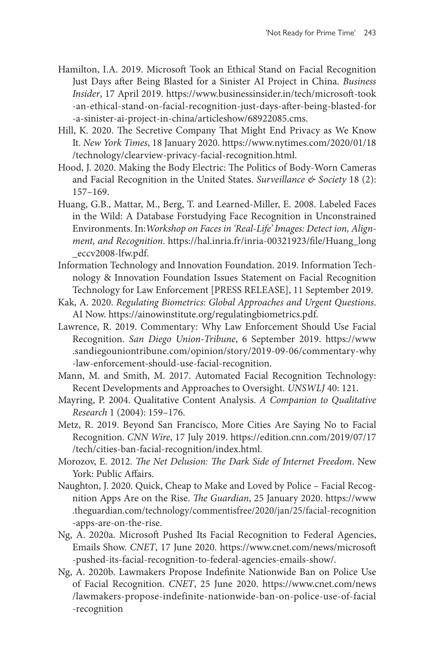- Hamilton, I.A. 2019. Microsoft Took an Ethical Stand on Facial Recognition Just Days after Being Blasted for a Sinister AI Project in China. *Business Insider*, 17 April 2019. [https://www.businessinsider.in/tech/microsoft-took](https://www.businessinsider.in/tech/microsoft-took-an-ethical-stand-on-facial-recognition-just-days-after-being-blasted-for-a-sinister-ai-project-in-china/articleshow/68922085.cms) [-an-ethical-stand-on-facial-recognition-just-days-after-being-blasted-for](https://www.businessinsider.in/tech/microsoft-took-an-ethical-stand-on-facial-recognition-just-days-after-being-blasted-for-a-sinister-ai-project-in-china/articleshow/68922085.cms) [-a-sinister-ai-project-in-china/articleshow/68922085.cms](https://www.businessinsider.in/tech/microsoft-took-an-ethical-stand-on-facial-recognition-just-days-after-being-blasted-for-a-sinister-ai-project-in-china/articleshow/68922085.cms).
- Hill, K. 2020. The Secretive Company That Might End Privacy as We Know It. *New York Times*, 18 January 2020. [https://www.nytimes.com/2020/01/18](https://www.nytimes.com/2020/01/18/technology/clearview-privacy-facial-recognition.html) [/technology/clearview-privacy-facial-recognition.html.](https://www.nytimes.com/2020/01/18/technology/clearview-privacy-facial-recognition.html)
- Hood, J. 2020. Making the Body Electric: The Politics of Body-Worn Cameras and Facial Recognition in the United States. *Surveillance & Society* 18 (2): 157–169.
- Huang, G.B., Mattar, M., Berg, T. and Learned-Miller, E. 2008. Labeled Faces in the Wild: A Database Forstudying Face Recognition in Unconstrained Environments. In:*Workshop on Faces in 'Real-Life' Images: Detect ion, Alignment, and Recognition*. [https://hal.inria.fr/inria-00321923/file/Huang\\_long](https://hal.inria.fr/inria-00321923/file/Huang_long_eccv2008-lfw.pdf) [\\_eccv2008-lfw.pdf.](https://hal.inria.fr/inria-00321923/file/Huang_long_eccv2008-lfw.pdf)
- Information Technology and Innovation Foundation. 2019. Information Technology & Innovation Foundation Issues Statement on Facial Recognition Technology for Law Enforcement [PRESS RELEASE], 11 September 2019.
- Kak, A. 2020. *Regulating Biometrics: Global Approaches and Urgent Questions*. AI Now. [https://ainowinstitute.org/regulatingbiometrics.pdf.](https://ainowinstitute.org/regulatingbiometrics.pdf)
- Lawrence, R. 2019. Commentary: Why Law Enforcement Should Use Facial Recognition. *San Diego Union-Tribune*, 6 September 2019. [https://www](https://www.sandiegouniontribune.com/opinion/story/2019-09-06/commentary-why-law-enforcement-should-use-facial-recognition) [.sandiegouniontribune.com/opinion/story/2019-09-06/commentary-why](https://www.sandiegouniontribune.com/opinion/story/2019-09-06/commentary-why-law-enforcement-should-use-facial-recognition) [-law-enforcement-should-use-facial-recognition](https://www.sandiegouniontribune.com/opinion/story/2019-09-06/commentary-why-law-enforcement-should-use-facial-recognition).
- Mann, M. and Smith, M. 2017. Automated Facial Recognition Technology: Recent Developments and Approaches to Oversight. *UNSWLJ* 40: 121.
- Mayring, P. 2004. Qualitative Content Analysis. *A Companion to Qualitative Research* 1 (2004): 159–176.
- Metz, R. 2019. Beyond San Francisco, More Cities Are Saying No to Facial Recognition. *CNN Wire*, 17 July 2019. [https://edition.cnn.com/2019/07/17](https://edition.cnn.com/2019/07/17/tech/cities-ban-facial-recognition/index.html) [/tech/cities-ban-facial-recognition/index.html.](https://edition.cnn.com/2019/07/17/tech/cities-ban-facial-recognition/index.html)
- Morozov, E. 2012. *The Net Delusion: The Dark Side of Internet Freedom*. New York: Public Affairs.
- Naughton, J. 2020. Quick, Cheap to Make and Loved by Police Facial Recognition Apps Are on the Rise. *The Guardian*, 25 January 2020. [https://www](https://www.theguardian.com/technology/commentisfree/2020/jan/25/facial-recognition-apps-are-on-the-rise) [.theguardian.com/technology/commentisfree/2020/jan/25/facial-recognition](https://www.theguardian.com/technology/commentisfree/2020/jan/25/facial-recognition-apps-are-on-the-rise) [-apps-are-on-the-rise.](https://www.theguardian.com/technology/commentisfree/2020/jan/25/facial-recognition-apps-are-on-the-rise)
- Ng, A. 2020a. Microsoft Pushed Its Facial Recognition to Federal Agencies, Emails Show. *CNET*, 17 June 2020. [https://www.cnet.com/news/microsoft](https://www.cnet.com/news/microsoft-pushed-its-facial-recognition-to-federal-agencies-emails-show/) [-pushed-its-facial-recognition-to-federal-agencies-emails-show/](https://www.cnet.com/news/microsoft-pushed-its-facial-recognition-to-federal-agencies-emails-show/).
- Ng, A. 2020b. Lawmakers Propose Indefinite Nationwide Ban on Police Use of Facial Recognition. *CNET*, 25 June 2020. [https://www.cnet.com/news](https://www.cnet.com/news/lawmakers-propose-indefinite-nationwide-ban-on-police-use-of-facial-recognition) [/lawmakers-propose-indefinite-nationwide-ban-on-police-use-of-facial](https://www.cnet.com/news/lawmakers-propose-indefinite-nationwide-ban-on-police-use-of-facial-recognition) [-recognition](https://www.cnet.com/news/lawmakers-propose-indefinite-nationwide-ban-on-police-use-of-facial-recognition)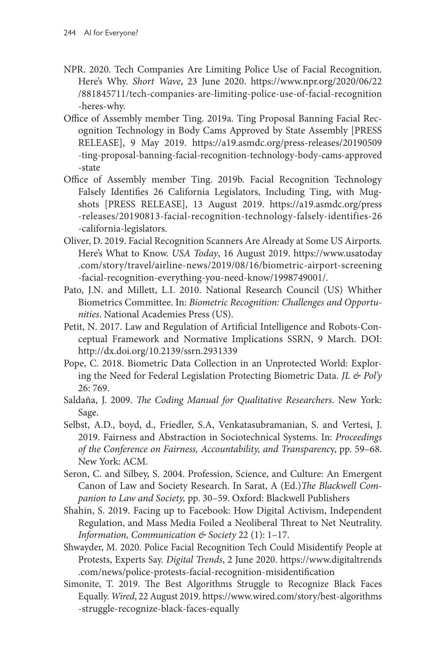- NPR. 2020. Tech Companies Are Limiting Police Use of Facial Recognition. Here's Why. *Short Wave*, 23 June 2020. [https://www.npr.org/2020/06/22](https://www.npr.org/2020/06/22/881845711/tech-companies-are-limiting-police-use-of-facial-recognition-heres-why) [/881845711/tech-companies-are-limiting-police-use-of-facial-recognition](https://www.npr.org/2020/06/22/881845711/tech-companies-are-limiting-police-use-of-facial-recognition-heres-why) [-heres-why.](https://www.npr.org/2020/06/22/881845711/tech-companies-are-limiting-police-use-of-facial-recognition-heres-why)
- Office of Assembly member Ting. 2019a. Ting Proposal Banning Facial Recognition Technology in Body Cams Approved by State Assembly [PRESS RELEASE], 9 May 2019. [https://a19.asmdc.org/press-releases/20190509](https://a19.asmdc.org/press-releases/20190509-ting-proposal-banning-facial-recognition-technology-body-cams-approved-state) [-ting-proposal-banning-facial-recognition-technology-body-cams-approved](https://a19.asmdc.org/press-releases/20190509-ting-proposal-banning-facial-recognition-technology-body-cams-approved-state) [-state](https://a19.asmdc.org/press-releases/20190509-ting-proposal-banning-facial-recognition-technology-body-cams-approved-state)
- Office of Assembly member Ting. 2019b. Facial Recognition Technology Falsely Identifies 26 California Legislators, Including Ting, with Mugshots [PRESS RELEASE], 13 August 2019. [https://a19.asmdc.org/press](https://a19.asmdc.org/press-releases/20190813-facial-recognition-technology-falsely-identifies-26-california-legislators) [-releases/20190813-facial-recognition-technology-falsely-identifies-26](https://a19.asmdc.org/press-releases/20190813-facial-recognition-technology-falsely-identifies-26-california-legislators) [-california-legislators.](https://a19.asmdc.org/press-releases/20190813-facial-recognition-technology-falsely-identifies-26-california-legislators)
- Oliver, D. 2019. Facial Recognition Scanners Are Already at Some US Airports. Here's What to Know. *USA Today*, 16 August 2019. [https://www.usatoday](https://www.usatoday.com/story/travel/airline-news/2019/08/16/biometric-airport-screening-facial-recognition-everything-you-need-know/1998749001/) [.com/story/travel/airline-news/2019/08/16/biometric-airport-screening](https://www.usatoday.com/story/travel/airline-news/2019/08/16/biometric-airport-screening-facial-recognition-everything-you-need-know/1998749001/) [-facial-recognition-everything-you-need-know/1998749001/](https://www.usatoday.com/story/travel/airline-news/2019/08/16/biometric-airport-screening-facial-recognition-everything-you-need-know/1998749001/).
- Pato, J.N. and Millett, L.I. 2010. National Research Council (US) Whither Biometrics Committee. In: *Biometric Recognition: Challenges and Opportunities*. National Academies Press (US).
- Petit, N. 2017. Law and Regulation of Artificial Intelligence and Robots-Conceptual Framework and Normative Implications SSRN, 9 March. DOI: <http://dx.doi.org/10.2139/ssrn.2931339>
- Pope, C. 2018. Biometric Data Collection in an Unprotected World: Exploring the Need for Federal Legislation Protecting Biometric Data. *JL & Pol'y* 26: 769.
- Saldaña, J. 2009. *The Coding Manual for Qualitative Researchers*. New York: Sage.
- Selbst, A.D., boyd, d., Friedler, S.A, Venkatasubramanian, S. and Vertesi, J. 2019. Fairness and Abstraction in Sociotechnical Systems. In: *Proceedings of the Conference on Fairness, Accountability, and Transparenc*y, pp. 59–68. New York: ACM.
- Seron, C. and Silbey, S. 2004. Profession, Science, and Culture: An Emergent Canon of Law and Society Research. In Sarat, A (Ed.)*The Blackwell Companion to Law and Society,* pp. 30–59. Oxford: Blackwell Publishers
- Shahin, S. 2019. Facing up to Facebook: How Digital Activism, Independent Regulation, and Mass Media Foiled a Neoliberal Threat to Net Neutrality. *Information, Communication & Society* 22 (1): 1–17.
- Shwayder, M. 2020. Police Facial Recognition Tech Could Misidentify People at Protests, Experts Say. *Digital Trends*, 2 June 2020. [https://www.digitaltrends](https://www.digitaltrends.com/news/police-protests-facial-recognition-misidentification) [.com/news/police-protests-facial-recognition-misidentification](https://www.digitaltrends.com/news/police-protests-facial-recognition-misidentification)
- Simonite, T. 2019. The Best Algorithms Struggle to Recognize Black Faces Equally. *Wired*, 22 August 2019. [https://www.wired.com/story/best-algorithms](https://www.wired.com/story/best-algorithms-struggle-recognize-black-faces-equally) [-struggle-recognize-black-faces-equally](https://www.wired.com/story/best-algorithms-struggle-recognize-black-faces-equally)